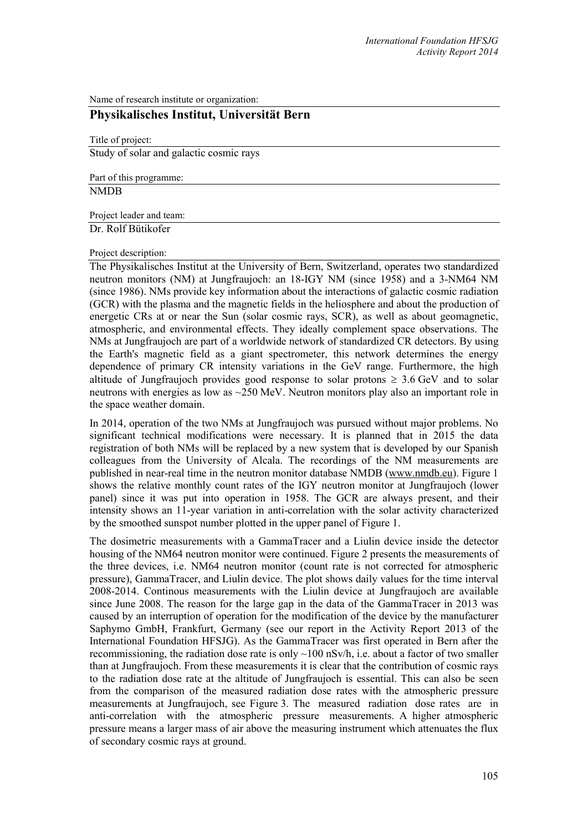Name of research institute or organization:

## **Physikalisches Institut, Universität Bern**

Title of project: Study of solar and galactic cosmic rays

Part of this programme: NMDB

Project leader and team:

Dr. Rolf Bütikofer

Project description:

The Physikalisches Institut at the University of Bern, Switzerland, operates two standardized neutron monitors (NM) at Jungfraujoch: an 18-IGY NM (since 1958) and a 3-NM64 NM (since 1986). NMs provide key information about the interactions of galactic cosmic radiation (GCR) with the plasma and the magnetic fields in the heliosphere and about the production of energetic CRs at or near the Sun (solar cosmic rays, SCR), as well as about geomagnetic, atmospheric, and environmental effects. They ideally complement space observations. The NMs at Jungfraujoch are part of a worldwide network of standardized CR detectors. By using the Earth's magnetic field as a giant spectrometer, this network determines the energy dependence of primary CR intensity variations in the GeV range. Furthermore, the high altitude of Jungfraujoch provides good response to solar protons  $\geq 3.6$  GeV and to solar neutrons with energies as low as ~250 MeV. Neutron monitors play also an important role in the space weather domain.

In 2014, operation of the two NMs at Jungfraujoch was pursued without major problems. No significant technical modifications were necessary. It is planned that in 2015 the data registration of both NMs will be replaced by a new system that is developed by our Spanish colleagues from the University of Alcala. The recordings of the NM measurements are published in near-real time in the neutron monitor database NMDB [\(www.nmdb.eu\)](http://www.nmdb.eu/). Figure 1 shows the relative monthly count rates of the IGY neutron monitor at Jungfraujoch (lower panel) since it was put into operation in 1958. The GCR are always present, and their intensity shows an 11-year variation in anti-correlation with the solar activity characterized by the smoothed sunspot number plotted in the upper panel of Figure 1.

The dosimetric measurements with a GammaTracer and a Liulin device inside the detector housing of the NM64 neutron monitor were continued. Figure 2 presents the measurements of the three devices, i.e. NM64 neutron monitor (count rate is not corrected for atmospheric pressure), GammaTracer, and Liulin device. The plot shows daily values for the time interval 2008-2014. Continous measurements with the Liulin device at Jungfraujoch are available since June 2008. The reason for the large gap in the data of the GammaTracer in 2013 was caused by an interruption of operation for the modification of the device by the manufacturer Saphymo GmbH, Frankfurt, Germany (see our report in the Activity Report 2013 of the International Foundation HFSJG). As the GammaTracer was first operated in Bern after the recommissioning, the radiation dose rate is only  $\sim$ 100 nSv/h, i.e. about a factor of two smaller than at Jungfraujoch. From these measurements it is clear that the contribution of cosmic rays to the radiation dose rate at the altitude of Jungfraujoch is essential. This can also be seen from the comparison of the measured radiation dose rates with the atmospheric pressure measurements at Jungfraujoch, see Figure 3. The measured radiation dose rates are in anti-correlation with the atmospheric pressure measurements. A higher atmospheric pressure means a larger mass of air above the measuring instrument which attenuates the flux of secondary cosmic rays at ground.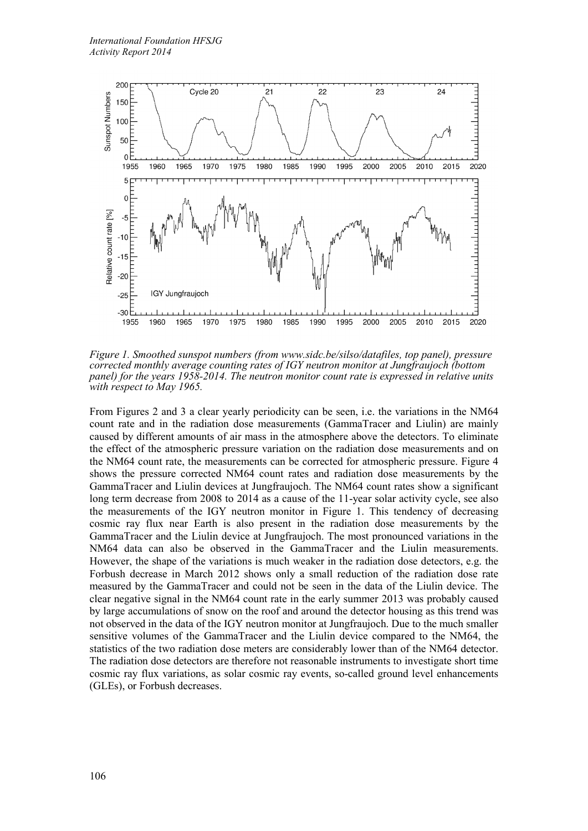

*Figure 1. Smoothed sunspot numbers (fro[m www.sidc.be/silso/datafiles,](http://www.sidc.be/silso/datafiles) top panel), pressure corrected monthly average counting rates of IGY neutron monitor at Jungfraujoch (bottom panel) for the years 1958-2014. The neutron monitor count rate is expressed in relative units with respect to May 1965.*

From Figures 2 and 3 a clear yearly periodicity can be seen, i.e. the variations in the NM64 count rate and in the radiation dose measurements (GammaTracer and Liulin) are mainly caused by different amounts of air mass in the atmosphere above the detectors. To eliminate the effect of the atmospheric pressure variation on the radiation dose measurements and on the NM64 count rate, the measurements can be corrected for atmospheric pressure. Figure 4 shows the pressure corrected NM64 count rates and radiation dose measurements by the GammaTracer and Liulin devices at Jungfraujoch. The NM64 count rates show a significant long term decrease from 2008 to 2014 as a cause of the 11-year solar activity cycle, see also the measurements of the IGY neutron monitor in Figure 1. This tendency of decreasing cosmic ray flux near Earth is also present in the radiation dose measurements by the GammaTracer and the Liulin device at Jungfraujoch. The most pronounced variations in the NM64 data can also be observed in the GammaTracer and the Liulin measurements. However, the shape of the variations is much weaker in the radiation dose detectors, e.g. the Forbush decrease in March 2012 shows only a small reduction of the radiation dose rate measured by the GammaTracer and could not be seen in the data of the Liulin device. The clear negative signal in the NM64 count rate in the early summer 2013 was probably caused by large accumulations of snow on the roof and around the detector housing as this trend was not observed in the data of the IGY neutron monitor at Jungfraujoch. Due to the much smaller sensitive volumes of the GammaTracer and the Liulin device compared to the NM64, the statistics of the two radiation dose meters are considerably lower than of the NM64 detector. The radiation dose detectors are therefore not reasonable instruments to investigate short time cosmic ray flux variations, as solar cosmic ray events, so-called ground level enhancements (GLEs), or Forbush decreases.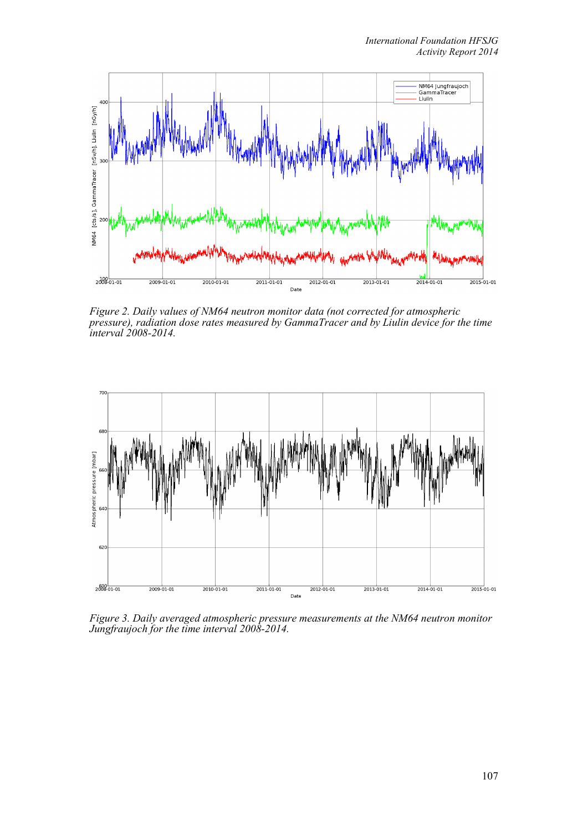

*Figure 2. Daily values of NM64 neutron monitor data (not corrected for atmospheric pressure), radiation dose rates measured by GammaTracer and by Liulin device for the time interval 2008-2014.*



*Figure 3. Daily averaged atmospheric pressure measurements at the NM64 neutron monitor Jungfraujoch for the time interval 2008-2014.*